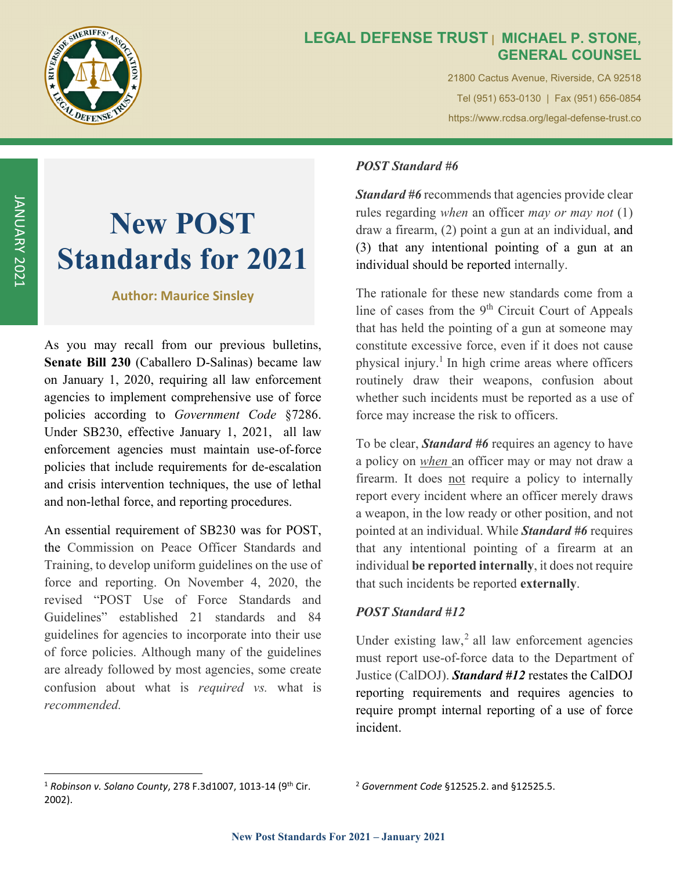

### **LEGAL DEFENSE TRUST | MICHAEL P. STONE, GENERAL COUNSEL**

21800 Cactus Avenue, Riverside, CA 92518 Tel (951) 653-0130 | Fax (951) 656-0854 https://www.rcdsa.org/legal-defense-trust.co

# **New POST Standards for 2021**

#### **Author: Maurice Sinsley**

As you may recall from our previous bulletins, **Senate Bill 230** (Caballero D-Salinas) became law on January 1, 2020, requiring all law enforcement agencies to implement comprehensive use of force policies according to *Government Code* §7286. Under SB230, effective January 1, 2021, all law enforcement agencies must maintain use-of-force policies that include requirements for de-escalation and crisis intervention techniques, the use of lethal and non-lethal force, and reporting procedures.

An essential requirement of SB230 was for POST, the Commission on Peace Officer Standards and Training, to develop uniform guidelines on the use of force and reporting. On November 4, 2020, the revised "POST Use of Force Standards and Guidelines" established 21 standards and 84 guidelines for agencies to incorporate into their use of force policies. Although many of the guidelines are already followed by most agencies, some create confusion about what is *required vs.* what is *recommended.*

# *POST Standard #6*

*Standard #6* recommends that agencies provide clear rules regarding *when* an officer *may or may not* (1) draw a firearm, (2) point a gun at an individual, and (3) that any intentional pointing of a gun at an individual should be reported internally.

The rationale for these new standards come from a line of cases from the 9<sup>th</sup> Circuit Court of Appeals that has held the pointing of a gun at someone may constitute excessive force, even if it does not cause physical injury.<sup>1</sup> In high crime areas where officers routinely draw their weapons, confusion about whether such incidents must be reported as a use of force may increase the risk to officers.

To be clear, *Standard #6* requires an agency to have a policy on *when* an officer may or may not draw a firearm. It does not require a policy to internally report every incident where an officer merely draws a weapon, in the low ready or other position, and not pointed at an individual. While *Standard #6* requires that any intentional pointing of a firearm at an individual **be reported internally**, it does not require that such incidents be reported **externally**.

#### *POST Standard #12*

Under existing  $law<sub>z</sub><sup>2</sup>$  all law enforcement agencies must report use-of-force data to the Department of Justice (CalDOJ). *Standard #12* restates the CalDOJ reporting requirements and requires agencies to require prompt internal reporting of a use of force incident.

<sup>1</sup> *Robinson v. Solano County*, 278 F.3d1007, 1013‐14 (9th Cir. 2002).

<sup>2</sup> *Government Code* §12525.2. and §12525.5.